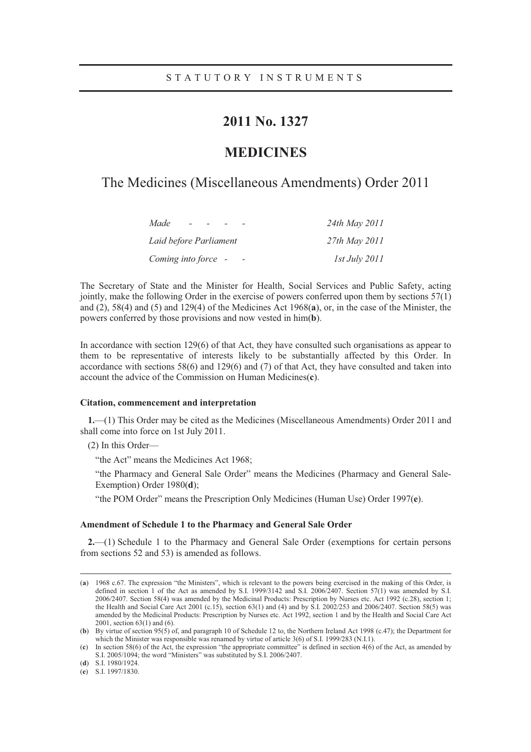## **2011 No. 1327**

## **MEDICINES**

### The Medicines (Miscellaneous Amendments) Order 2011

| Made                   | 24th May 2011        |
|------------------------|----------------------|
| Laid before Parliament | 27th May 2011        |
| Coming into force -    | <i>1st July 2011</i> |

The Secretary of State and the Minister for Health, Social Services and Public Safety, acting jointly, make the following Order in the exercise of powers conferred upon them by sections 57(1) and (2), 58(4) and (5) and 129(4) of the Medicines Act 1968(**a**), or, in the case of the Minister, the powers conferred by those provisions and now vested in him(**b**).

In accordance with section 129(6) of that Act, they have consulted such organisations as appear to them to be representative of interests likely to be substantially affected by this Order. In accordance with sections 58(6) and 129(6) and (7) of that Act, they have consulted and taken into account the advice of the Commission on Human Medicines(**c**).

#### **Citation, commencement and interpretation**

**1.**—(1) This Order may be cited as the Medicines (Miscellaneous Amendments) Order 2011 and shall come into force on 1st July 2011.

(2) In this Order—

"the Act" means the Medicines Act 1968;

"the Pharmacy and General Sale Order" means the Medicines (Pharmacy and General Sale-Exemption) Order 1980(**d**);

"the POM Order" means the Prescription Only Medicines (Human Use) Order 1997(**e**).

#### **Amendment of Schedule 1 to the Pharmacy and General Sale Order**

**2.**—(1) Schedule 1 to the Pharmacy and General Sale Order (exemptions for certain persons from sections 52 and 53) is amended as follows.

 <sup>(</sup>**<sup>a</sup>**) 1968 c.67. The expression "the Ministers", which is relevant to the powers being exercised in the making of this Order, is defined in section 1 of the Act as amended by S.I. 1999/3142 and S.I. 2006/2407. Section 57(1) was amended by S.I. 2006/2407. Section 58(4) was amended by the Medicinal Products: Prescription by Nurses etc. Act 1992 (c.28), section 1; the Health and Social Care Act 2001 (c.15), section 63(1) and (4) and by S.I. 2002/253 and 2006/2407. Section 58(5) was amended by the Medicinal Products: Prescription by Nurses etc. Act 1992, section 1 and by the Health and Social Care Act 2001, section 63(1) and (6).

<sup>(</sup>**b**) By virtue of section 95(5) of, and paragraph 10 of Schedule 12 to, the Northern Ireland Act 1998 (c.47); the Department for which the Minister was responsible was renamed by virtue of article 3(6) of S.I. 1999/283 (N.I.1).

<sup>(</sup>**c**) In section 58(6) of the Act, the expression "the appropriate committee" is defined in section 4(6) of the Act, as amended by S.I. 2005/1094; the word "Ministers" was substituted by S.I. 2006/2407.

<sup>(</sup>**d**) S.I. 1980/1924.

<sup>(</sup>**e**) S.I. 1997/1830.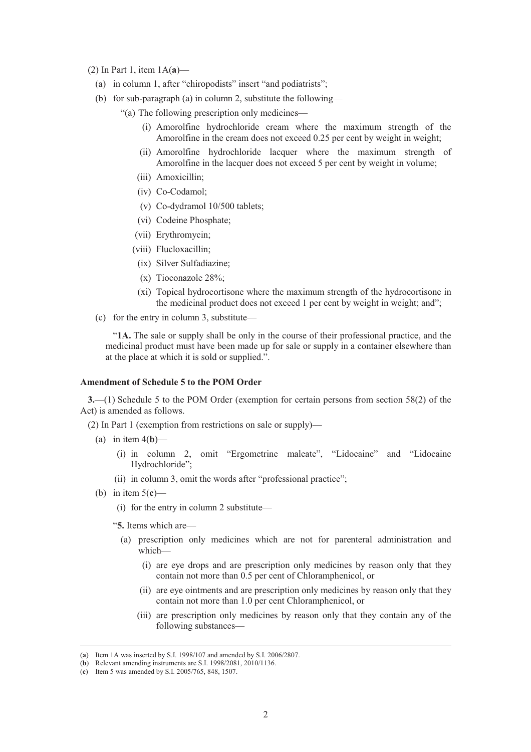- (2) In Part 1, item 1A(**a**)—
	- (a) in column 1, after "chiropodists" insert "and podiatrists";
	- (b) for sub-paragraph (a) in column 2, substitute the following—

"(a) The following prescription only medicines—

- (i) Amorolfine hydrochloride cream where the maximum strength of the Amorolfine in the cream does not exceed 0.25 per cent by weight in weight;
- (ii) Amorolfine hydrochloride lacquer where the maximum strength of Amorolfine in the lacquer does not exceed 5 per cent by weight in volume;
- (iii) Amoxicillin;
- (iv) Co-Codamol;
- (v) Co-dydramol 10/500 tablets;
- (vi) Codeine Phosphate;
- (vii) Erythromycin;
- (viii) Flucloxacillin;
- (ix) Silver Sulfadiazine;
- (x) Tioconazole 28%;
- (xi) Topical hydrocortisone where the maximum strength of the hydrocortisone in the medicinal product does not exceed 1 per cent by weight in weight; and";
- (c) for the entry in column 3, substitute—

"**1A.** The sale or supply shall be only in the course of their professional practice, and the medicinal product must have been made up for sale or supply in a container elsewhere than at the place at which it is sold or supplied.".

#### **Amendment of Schedule 5 to the POM Order**

**3.**—(1) Schedule 5 to the POM Order (exemption for certain persons from section 58(2) of the Act) is amended as follows.

(2) In Part 1 (exemption from restrictions on sale or supply)—

- (a) in item  $4(b)$ 
	- (i) in column 2, omit "Ergometrine maleate", "Lidocaine" and "Lidocaine Hydrochloride";
	- (ii) in column 3, omit the words after "professional practice";
- (b) in item 5(**c**)—
	- (i) for the entry in column 2 substitute—
	- "**5.** Items which are—
		- (a) prescription only medicines which are not for parenteral administration and which-
			- (i) are eye drops and are prescription only medicines by reason only that they contain not more than 0.5 per cent of Chloramphenicol, or
			- (ii) are eye ointments and are prescription only medicines by reason only that they contain not more than 1.0 per cent Chloramphenicol, or
			- (iii) are prescription only medicines by reason only that they contain any of the following substances—

 <sup>(</sup>**<sup>a</sup>**) Item 1A was inserted by S.I. 1998/107 and amended by S.I. 2006/2807.

<sup>(</sup>**b**) Relevant amending instruments are S.I. 1998/2081, 2010/1136.

<sup>(</sup>**c**) Item 5 was amended by S.I. 2005/765, 848, 1507.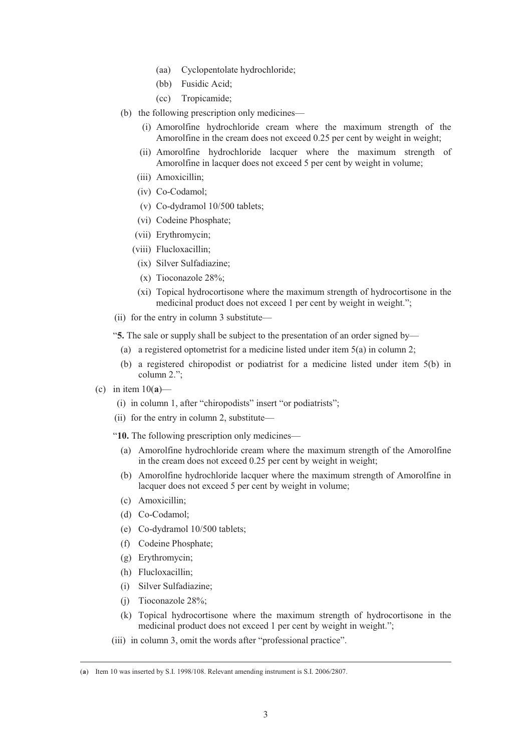- (aa) Cyclopentolate hydrochloride;
- (bb) Fusidic Acid;
- (cc) Tropicamide;
- (b) the following prescription only medicines—
	- (i) Amorolfine hydrochloride cream where the maximum strength of the Amorolfine in the cream does not exceed 0.25 per cent by weight in weight;
	- (ii) Amorolfine hydrochloride lacquer where the maximum strength of Amorolfine in lacquer does not exceed 5 per cent by weight in volume;
	- (iii) Amoxicillin;
	- (iv) Co-Codamol;
	- (v) Co-dydramol 10/500 tablets;
	- (vi) Codeine Phosphate;
	- (vii) Erythromycin;
	- (viii) Flucloxacillin;
	- (ix) Silver Sulfadiazine;
	- (x) Tioconazole 28%;
	- (xi) Topical hydrocortisone where the maximum strength of hydrocortisone in the medicinal product does not exceed 1 per cent by weight in weight.";
- (ii) for the entry in column 3 substitute—
- "**5.** The sale or supply shall be subject to the presentation of an order signed by—
	- (a) a registered optometrist for a medicine listed under item 5(a) in column 2;
	- (b) a registered chiropodist or podiatrist for a medicine listed under item 5(b) in column 2.";
- (c) in item 10(**a**)—
	- (i) in column 1, after "chiropodists" insert "or podiatrists";
	- (ii) for the entry in column 2, substitute—
	- "**10.** The following prescription only medicines—
		- (a) Amorolfine hydrochloride cream where the maximum strength of the Amorolfine in the cream does not exceed 0.25 per cent by weight in weight;
		- (b) Amorolfine hydrochloride lacquer where the maximum strength of Amorolfine in lacquer does not exceed 5 per cent by weight in volume:
		- (c) Amoxicillin;
		- (d) Co-Codamol;
		- (e) Co-dydramol 10/500 tablets;
		- (f) Codeine Phosphate;
		- (g) Erythromycin;
		- (h) Flucloxacillin;
		- (i) Silver Sulfadiazine;
		- (j) Tioconazole 28%;
		- (k) Topical hydrocortisone where the maximum strength of hydrocortisone in the medicinal product does not exceed 1 per cent by weight in weight.";
	- (iii) in column 3, omit the words after "professional practice".

 <sup>(</sup>**<sup>a</sup>**) Item 10 was inserted by S.I. 1998/108. Relevant amending instrument is S.I. 2006/2807.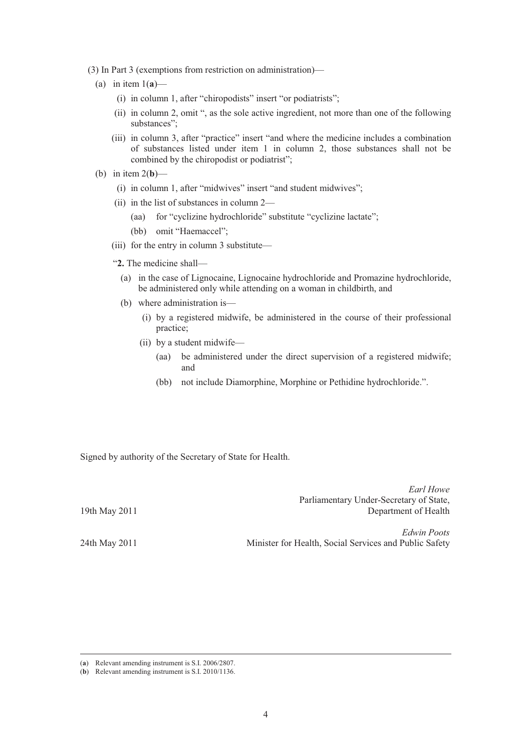- (3) In Part 3 (exemptions from restriction on administration)—
	- (a) in item  $1(a)$ 
		- (i) in column 1, after "chiropodists" insert "or podiatrists";
		- (ii) in column 2, omit ", as the sole active ingredient, not more than one of the following substances";
		- (iii) in column 3, after "practice" insert "and where the medicine includes a combination of substances listed under item 1 in column 2, those substances shall not be combined by the chiropodist or podiatrist";
	- (b) in item 2(**b**)—
		- (i) in column 1, after "midwives" insert "and student midwives";
		- (ii) in the list of substances in column 2—
			- (aa) for "cyclizine hydrochloride" substitute "cyclizine lactate";
			- (bb) omit "Haemaccel";
		- (iii) for the entry in column 3 substitute—
		- "**2.** The medicine shall—
			- (a) in the case of Lignocaine, Lignocaine hydrochloride and Promazine hydrochloride, be administered only while attending on a woman in childbirth, and
			- (b) where administration is—
				- (i) by a registered midwife, be administered in the course of their professional practice;
				- (ii) by a student midwife—
					- (aa) be administered under the direct supervision of a registered midwife; and

*Earl Howe* 

(bb) not include Diamorphine, Morphine or Pethidine hydrochloride.".

Signed by authority of the Secretary of State for Health.

| 19th May 2011 | 1.011 HOWE<br>Parliamentary Under-Secretary of State,<br>Department of Health |
|---------------|-------------------------------------------------------------------------------|
| 24th May 2011 | Edwin Poots<br>Minister for Health, Social Services and Public Safety         |

(**<sup>a</sup>**) Relevant amending instrument is S.I. 2006/2807.

<sup>(</sup>**b**) Relevant amending instrument is S.I. 2010/1136.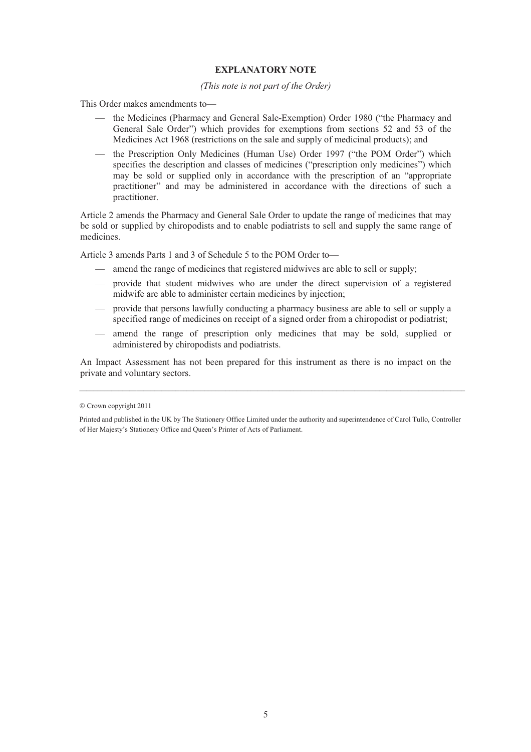#### **EXPLANATORY NOTE**

#### *(This note is not part of the Order)*

This Order makes amendments to—

- the Medicines (Pharmacy and General Sale-Exemption) Order 1980 ("the Pharmacy and General Sale Order") which provides for exemptions from sections 52 and 53 of the Medicines Act 1968 (restrictions on the sale and supply of medicinal products); and
- the Prescription Only Medicines (Human Use) Order 1997 ("the POM Order") which specifies the description and classes of medicines ("prescription only medicines") which may be sold or supplied only in accordance with the prescription of an "appropriate practitioner" and may be administered in accordance with the directions of such a practitioner.

Article 2 amends the Pharmacy and General Sale Order to update the range of medicines that may be sold or supplied by chiropodists and to enable podiatrists to sell and supply the same range of medicines.

Article 3 amends Parts 1 and 3 of Schedule 5 to the POM Order to—

- amend the range of medicines that registered midwives are able to sell or supply;
- provide that student midwives who are under the direct supervision of a registered midwife are able to administer certain medicines by injection;
- provide that persons lawfully conducting a pharmacy business are able to sell or supply a specified range of medicines on receipt of a signed order from a chiropodist or podiatrist;
- amend the range of prescription only medicines that may be sold, supplied or administered by chiropodists and podiatrists.

An Impact Assessment has not been prepared for this instrument as there is no impact on the private and voluntary sectors.

 $\mathcal{L}_\mathcal{L} = \mathcal{L}_\mathcal{L} = \mathcal{L}_\mathcal{L} = \mathcal{L}_\mathcal{L} = \mathcal{L}_\mathcal{L} = \mathcal{L}_\mathcal{L} = \mathcal{L}_\mathcal{L} = \mathcal{L}_\mathcal{L} = \mathcal{L}_\mathcal{L} = \mathcal{L}_\mathcal{L} = \mathcal{L}_\mathcal{L} = \mathcal{L}_\mathcal{L} = \mathcal{L}_\mathcal{L} = \mathcal{L}_\mathcal{L} = \mathcal{L}_\mathcal{L} = \mathcal{L}_\mathcal{L} = \mathcal{L}_\mathcal{L}$ 

 $©$  Crown copyright 2011

Printed and published in the UK by The Stationery Office Limited under the authority and superintendence of Carol Tullo, Controller of Her Majesty's Stationery Office and Queen's Printer of Acts of Parliament.